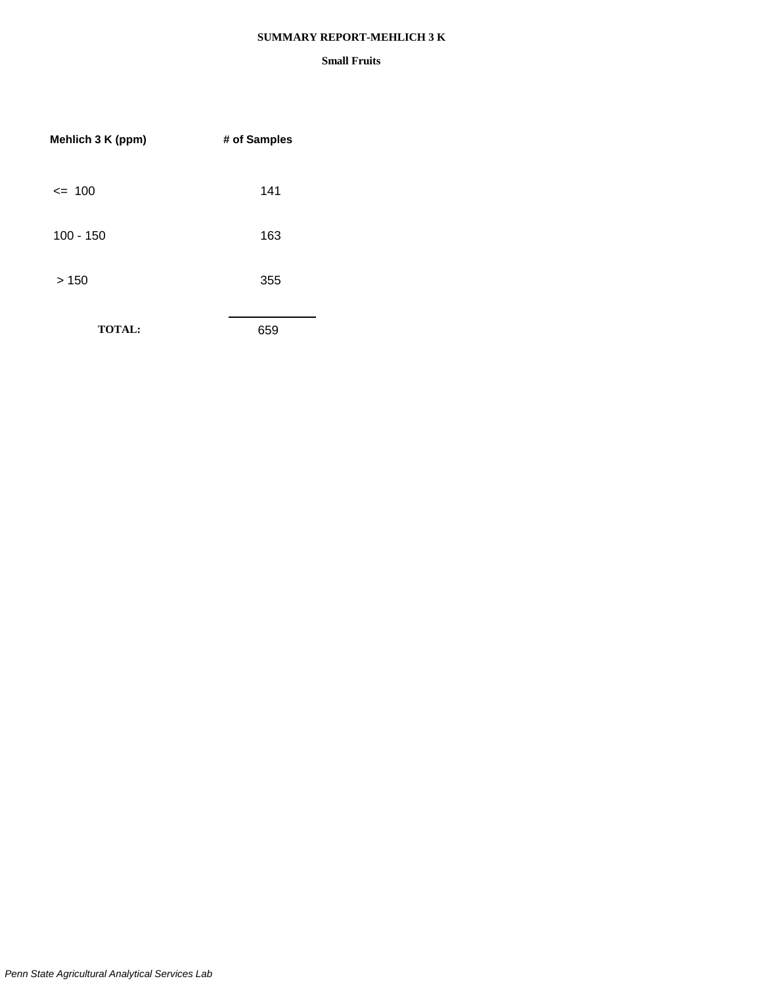#### **SUMMARY REPORT-MEHLICH 3 K**

| Mehlich 3 K (ppm) | # of Samples |
|-------------------|--------------|
| $= 100$           | 141          |
| $100 - 150$       | 163          |
| >150              | 355          |
| <b>TOTAL:</b>     | 659          |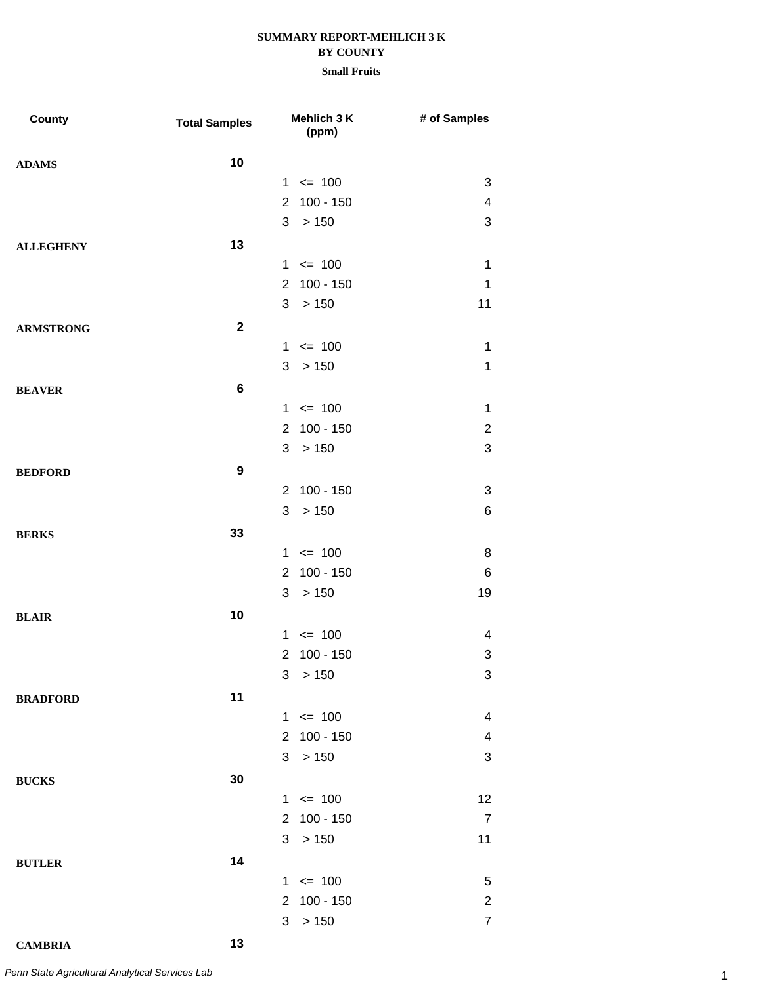| County           | <b>Total Samples</b> | Mehlich 3 K<br>(ppm)          | # of Samples              |
|------------------|----------------------|-------------------------------|---------------------------|
| <b>ADAMS</b>     | 10                   |                               |                           |
|                  |                      | $1 \le 100$                   | 3                         |
|                  |                      | $100 - 150$<br>$\overline{2}$ | $\overline{\mathcal{A}}$  |
|                  |                      | 3<br>>150                     | $\ensuremath{\mathsf{3}}$ |
| <b>ALLEGHENY</b> | 13                   |                               |                           |
|                  |                      | $1 \le 100$                   | $\mathbf 1$               |
|                  |                      | 2 100 - 150                   | 1                         |
|                  |                      | 3<br>>150                     | 11                        |
| <b>ARMSTRONG</b> | $\mathbf{2}$         |                               |                           |
|                  |                      | $1 \le 100$                   | $\mathbf 1$               |
|                  |                      | 3<br>> 150                    | $\mathbf 1$               |
| <b>BEAVER</b>    | $\bf 6$              |                               |                           |
|                  |                      | $1 \le 100$                   | $\mathbf 1$               |
|                  |                      | 2 100 - 150                   | $\overline{2}$            |
|                  |                      | 3 > 150                       | $\ensuremath{\mathsf{3}}$ |
| <b>BEDFORD</b>   | $\boldsymbol{9}$     |                               |                           |
|                  |                      | 2 100 - 150                   | 3                         |
|                  |                      | > 150<br>3                    | 6                         |
| <b>BERKS</b>     | 33                   |                               |                           |
|                  |                      | $1 \le 100$                   | 8                         |
|                  |                      | $100 - 150$<br>$\overline{2}$ | $\,6$                     |
|                  |                      | >150<br>3                     | 19                        |
| <b>BLAIR</b>     | 10                   |                               |                           |
|                  |                      | $1 \le 100$                   | 4                         |
|                  |                      | 100 - 150<br>$\overline{2}$   | 3                         |
|                  |                      | 3 <sup>1</sup><br>> 150       | 3                         |
| <b>BRADFORD</b>  | 11                   |                               |                           |
|                  |                      | $1 \le 100$                   | 4                         |
|                  |                      | 100 - 150<br>$\overline{2}$   | $\overline{\mathbf{4}}$   |
|                  |                      | 3<br>>150                     | 3                         |
| <b>BUCKS</b>     | 30                   |                               |                           |
|                  |                      | $1 \le 100$                   | 12                        |
|                  |                      | $100 - 150$<br>$\overline{2}$ | $\overline{7}$            |
|                  |                      | > 150<br>3                    | 11                        |
| <b>BUTLER</b>    | 14                   |                               |                           |
|                  |                      | $1 \le 100$                   | 5                         |
|                  |                      | 100 - 150<br>$\overline{2}$   | $\overline{c}$            |
|                  |                      | >150<br>3                     | $\overline{7}$            |
| <b>CAMBRIA</b>   | 13                   |                               |                           |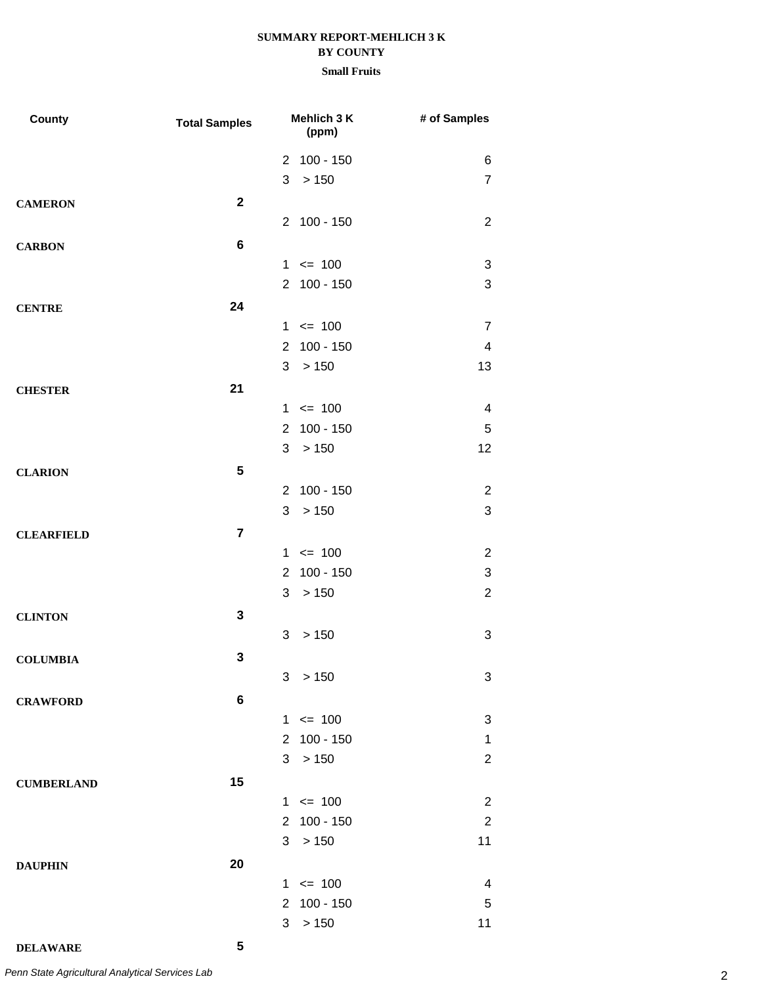| County            | <b>Total Samples</b> | Mehlich 3 K<br>(ppm)          | # of Samples   |
|-------------------|----------------------|-------------------------------|----------------|
|                   |                      | 2 100 - 150                   | 6              |
|                   |                      | 3<br>>150                     | $\overline{7}$ |
| <b>CAMERON</b>    | $\mathbf{2}$         |                               |                |
|                   |                      | 2 100 - 150                   | $\overline{2}$ |
| <b>CARBON</b>     | 6                    |                               |                |
|                   |                      | $1 \le 100$                   | 3              |
|                   |                      | 2 100 - 150                   | 3              |
| <b>CENTRE</b>     | 24                   |                               |                |
|                   |                      | $1 \le 100$                   | $\overline{7}$ |
|                   |                      | 2 100 - 150                   | 4              |
|                   |                      | 3<br>>150                     | 13             |
| <b>CHESTER</b>    | 21                   |                               |                |
|                   |                      | $1 \le 100$                   | 4              |
|                   |                      | 2 100 - 150                   | 5              |
|                   |                      | 3<br>> 150                    | 12             |
| <b>CLARION</b>    | 5                    |                               |                |
|                   |                      | $100 - 150$<br>2              | 2              |
|                   |                      | $>150$<br>3                   | $\sqrt{3}$     |
| <b>CLEARFIELD</b> | $\overline{7}$       |                               |                |
|                   |                      | $1 \le 100$                   | $\overline{2}$ |
|                   |                      | $100 - 150$<br>$\overline{2}$ | $\sqrt{3}$     |
|                   |                      | > 150<br>3                    | $\overline{2}$ |
| <b>CLINTON</b>    | 3                    |                               |                |
|                   |                      | > 150<br>3                    | 3              |
| <b>COLUMBIA</b>   | 3                    |                               |                |
|                   |                      | 3 > 150                       | 3              |
| <b>CRAWFORD</b>   | 6                    |                               |                |
|                   |                      | $1 \le 100$                   | 3              |
|                   |                      | 2 100 - 150                   | 1              |
|                   |                      | >150<br>3                     | $\overline{2}$ |
| <b>CUMBERLAND</b> | 15                   |                               |                |
|                   |                      | $1 \le 100$                   | $\overline{2}$ |
|                   |                      | 2 100 - 150                   | $\overline{2}$ |
|                   |                      | 3 <sup>1</sup><br>>150        | 11             |
| <b>DAUPHIN</b>    | 20                   |                               |                |
|                   |                      | $1 \le 100$                   | 4              |
|                   |                      | 2 100 - 150                   | $\overline{5}$ |
|                   |                      | >150<br>3                     | 11             |
| <b>DELAWARE</b>   | 5                    |                               |                |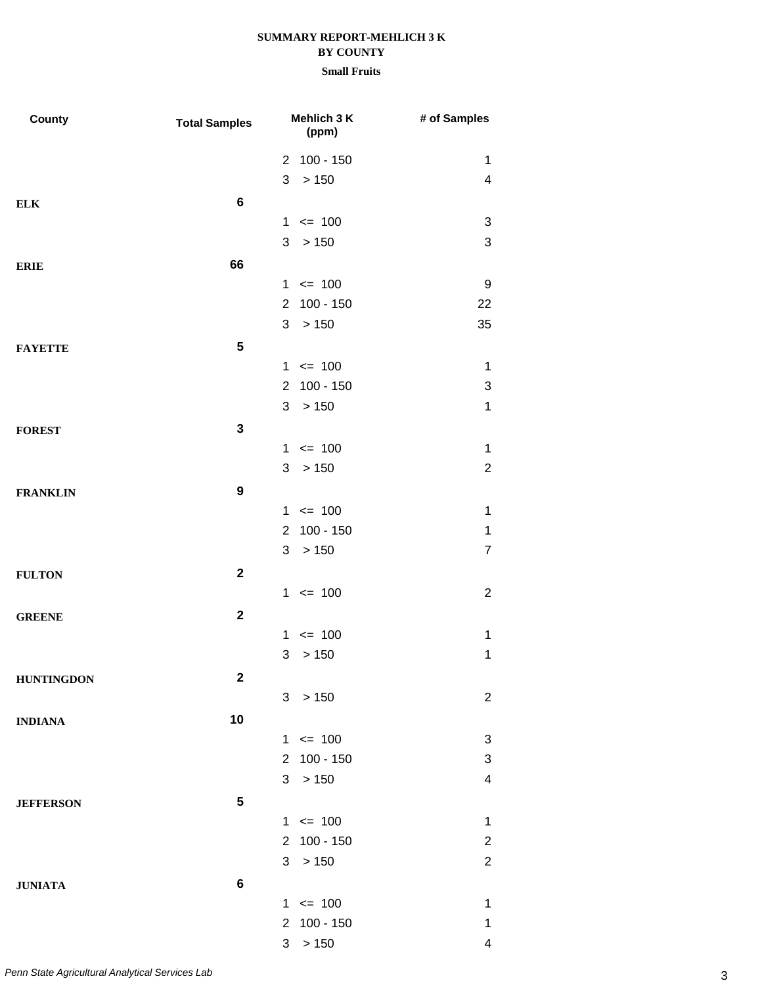# **SUMMARY REPORT-MEHLICH 3 K**

# **BY COUNTY**

| County            | <b>Total Samples</b> | Mehlich 3 K<br>(ppm)          | # of Samples             |
|-------------------|----------------------|-------------------------------|--------------------------|
|                   |                      | 2 100 - 150                   | 1                        |
|                   |                      | > 150<br>3                    | $\overline{\mathcal{A}}$ |
| <b>ELK</b>        | $\bf 6$              |                               |                          |
|                   |                      | $1 \le 100$                   | 3                        |
|                   |                      | 3<br>>150                     | 3                        |
| <b>ERIE</b>       | 66                   |                               |                          |
|                   |                      | $1 \le 100$                   | 9                        |
|                   |                      | $100 - 150$<br>$\overline{2}$ | 22                       |
|                   |                      | > 150<br>3                    | 35                       |
| <b>FAYETTE</b>    | 5                    |                               |                          |
|                   |                      | $= 100$<br>1                  | 1                        |
|                   |                      | $100 - 150$<br>$\overline{2}$ | 3                        |
|                   |                      | > 150<br>3                    | $\mathbf 1$              |
| <b>FOREST</b>     | $\mathbf{3}$         |                               |                          |
|                   |                      | $1 \le 100$                   | 1                        |
|                   |                      | 3<br>>150                     | $\boldsymbol{2}$         |
| <b>FRANKLIN</b>   | $\boldsymbol{9}$     |                               |                          |
|                   |                      | $1 \le 100$                   | $\mathbf 1$              |
|                   |                      | $100 - 150$<br>$\overline{2}$ | $\mathbf 1$              |
|                   |                      | 3<br>>150                     | $\overline{7}$           |
| <b>FULTON</b>     | $\mathbf{2}$         |                               |                          |
|                   |                      | $1 \le 100$                   | $\overline{2}$           |
| <b>GREENE</b>     | $\mathbf{2}$         |                               |                          |
|                   |                      | $= 100$<br>$\mathbf 1$        | $\mathbf 1$              |
|                   |                      | > 150<br>3                    | $\mathbf 1$              |
| <b>HUNTINGDON</b> | $\mathbf 2$          |                               |                          |
|                   |                      | 3 > 150                       | $\overline{2}$           |
| <b>INDIANA</b>    | 10                   |                               |                          |
|                   |                      | $1 \le 100$                   | 3                        |
|                   |                      | 2 100 - 150                   | 3                        |
|                   |                      | > 150<br>3                    | $\overline{\mathcal{A}}$ |
| <b>JEFFERSON</b>  | 5                    |                               |                          |
|                   |                      | $1 \le 100$                   | $\mathbf 1$              |
|                   |                      | 2 100 - 150                   | $\overline{\mathbf{c}}$  |
|                   |                      | >150<br>3                     | $\overline{2}$           |
| <b>JUNIATA</b>    | $\bf 6$              |                               |                          |
|                   |                      | $1 \le 100$                   | 1                        |
|                   |                      | 2 100 - 150                   | $\mathbf 1$              |
|                   |                      | 3 > 150                       | $\overline{\mathbf{4}}$  |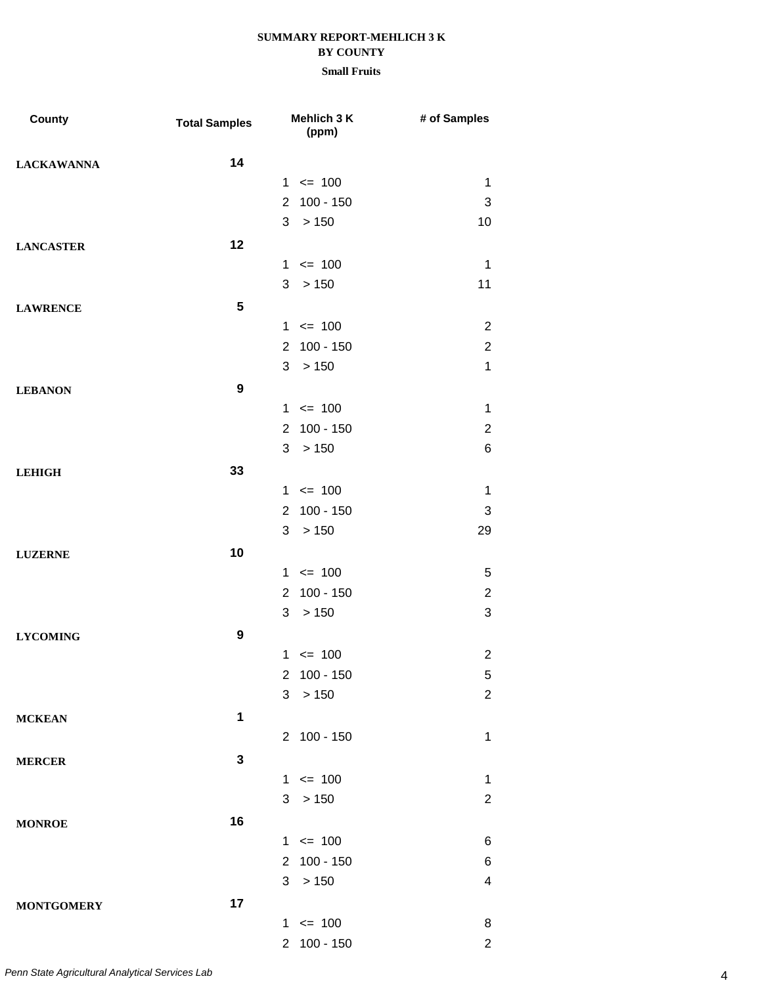| County            | <b>Total Samples</b> | Mehlich 3 K<br>(ppm)          | # of Samples            |
|-------------------|----------------------|-------------------------------|-------------------------|
| <b>LACKAWANNA</b> | 14                   |                               |                         |
|                   |                      | $1 \le 100$                   | $\mathbf 1$             |
|                   |                      | $100 - 150$<br>$\overline{2}$ | 3                       |
|                   |                      | 3<br>>150                     | 10                      |
| <b>LANCASTER</b>  | 12                   |                               |                         |
|                   |                      | $= 100$<br>1                  | $\mathbf 1$             |
|                   |                      | 3 > 150                       | 11                      |
| <b>LAWRENCE</b>   | 5                    |                               |                         |
|                   |                      | $1 \le 100$                   | $\overline{2}$          |
|                   |                      | 2 100 - 150                   | $\overline{2}$          |
|                   |                      | >150<br>3                     | $\mathbf{1}$            |
| <b>LEBANON</b>    | $\boldsymbol{9}$     |                               |                         |
|                   |                      | $1 \le 100$                   | $\mathbf 1$             |
|                   |                      | 2 100 - 150                   | $\overline{2}$          |
|                   |                      | 3 > 150                       | 6                       |
| <b>LEHIGH</b>     | 33                   |                               |                         |
|                   |                      | $1 \le 100$                   | $\mathbf 1$             |
|                   |                      | 2 100 - 150                   | 3                       |
|                   |                      | >150<br>3                     | 29                      |
| <b>LUZERNE</b>    | 10                   |                               |                         |
|                   |                      | $1 \le 100$                   | 5                       |
|                   |                      | $100 - 150$<br>$\overline{2}$ | $\overline{2}$          |
|                   |                      | 3<br>> 150                    | 3                       |
| <b>LYCOMING</b>   | $\boldsymbol{9}$     |                               |                         |
|                   |                      | $1 \le 100$                   | $\overline{2}$          |
|                   |                      | 2 100 - 150                   | 5                       |
|                   |                      | 3 > 150                       | $\overline{c}$          |
|                   | 1                    |                               |                         |
| <b>MCKEAN</b>     |                      | 2 100 - 150                   | $\mathbf 1$             |
|                   |                      |                               |                         |
| <b>MERCER</b>     | $\mathbf{3}$         |                               |                         |
|                   |                      | $1 \le 100$                   | $\mathbf 1$             |
|                   |                      | 3 > 150                       | $\overline{c}$          |
| <b>MONROE</b>     | 16                   |                               |                         |
|                   |                      | $1 \le 100$                   | 6                       |
|                   |                      | 2 100 - 150                   | 6                       |
|                   |                      | 3<br>>150                     | $\overline{\mathbf{4}}$ |
| <b>MONTGOMERY</b> | 17                   |                               |                         |
|                   |                      | $1 \le 100$                   | 8                       |
|                   |                      | 2 100 - 150                   | $\overline{2}$          |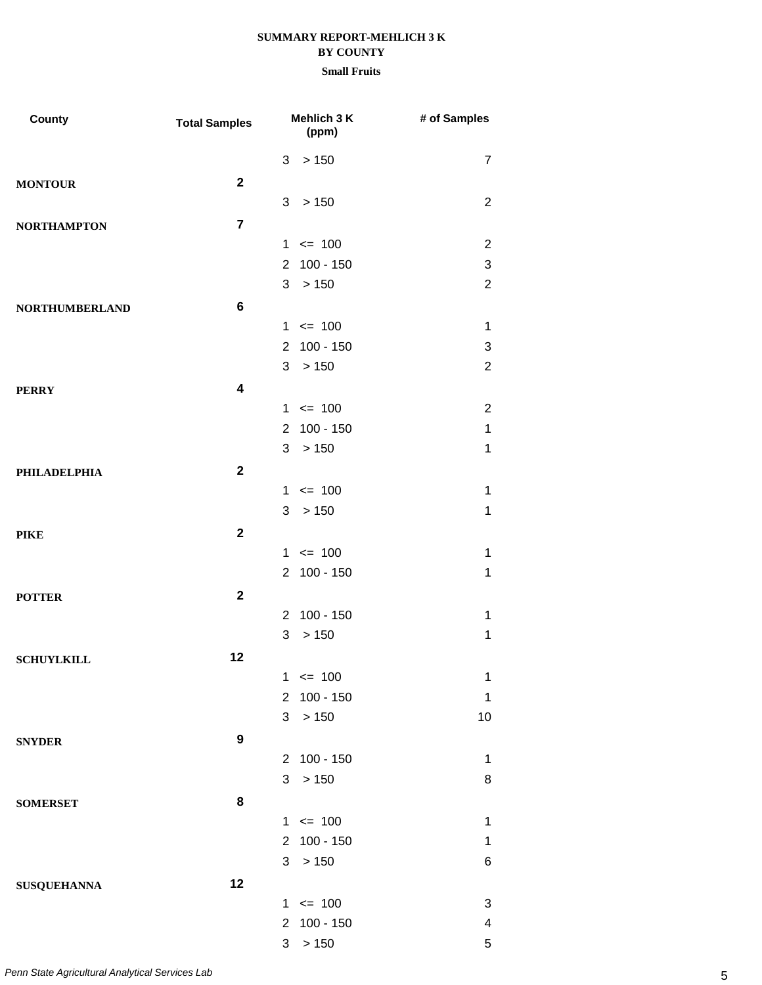| County                | <b>Total Samples</b>    |                | Mehlich 3 K<br>(ppm) | # of Samples            |
|-----------------------|-------------------------|----------------|----------------------|-------------------------|
|                       |                         | 3              | > 150                | $\overline{7}$          |
| <b>MONTOUR</b>        | $\mathbf{2}$            |                |                      |                         |
|                       |                         | 3              | > 150                | $\overline{2}$          |
| <b>NORTHAMPTON</b>    | $\overline{7}$          |                |                      |                         |
|                       |                         |                | $1 \le 100$          | $\overline{2}$          |
|                       |                         | $2^{\circ}$    | $100 - 150$          | 3                       |
|                       |                         |                | 3 > 150              | $\overline{2}$          |
| <b>NORTHUMBERLAND</b> | 6                       |                |                      |                         |
|                       |                         |                | $1 \le 100$          | $\mathbf 1$             |
|                       |                         | $2^{\circ}$    | $100 - 150$          | 3                       |
|                       |                         |                | 3 > 150              | $\overline{2}$          |
| <b>PERRY</b>          | $\overline{\mathbf{4}}$ |                |                      |                         |
|                       |                         |                | $1 \le 100$          | $\overline{2}$          |
|                       |                         | $2^{\circ}$    | $100 - 150$          | $\mathbf 1$             |
|                       |                         |                | 3 > 150              | $\mathbf 1$             |
| <b>PHILADELPHIA</b>   | $\mathbf{2}$            |                |                      |                         |
|                       |                         |                | $1 \le 100$          | $\mathbf 1$             |
|                       |                         |                | 3 > 150              | 1                       |
| <b>PIKE</b>           | $\mathbf{2}$            |                |                      |                         |
|                       |                         |                | $1 \le 100$          | 1                       |
|                       |                         | $\overline{2}$ | $100 - 150$          | $\mathbf 1$             |
| <b>POTTER</b>         | $\overline{\mathbf{2}}$ |                |                      |                         |
|                       |                         | 2              | $100 - 150$          | 1                       |
|                       |                         | 3              | > 150                | $\mathbf 1$             |
| <b>SCHUYLKILL</b>     | 12                      |                |                      |                         |
|                       |                         |                | $1 \le 100$          | $\mathbf 1$             |
|                       |                         | $2^{\circ}$    | $100 - 150$          | 1                       |
|                       |                         | 3              | > 150                | 10                      |
| <b>SNYDER</b>         | 9                       |                |                      |                         |
|                       |                         |                | 2 100 - 150          | 1                       |
|                       |                         | 3              | > 150                | 8                       |
| <b>SOMERSET</b>       | 8                       |                |                      |                         |
|                       |                         |                | $1 \le 100$          | 1                       |
|                       |                         |                | 2 100 - 150          | 1                       |
|                       |                         |                | 3 > 150              | 6                       |
| <b>SUSQUEHANNA</b>    | 12                      |                |                      |                         |
|                       |                         |                | $1 \le 100$          | 3                       |
|                       |                         |                | 2 100 - 150          | $\overline{\mathbf{4}}$ |
|                       |                         | 3 <sup>7</sup> | > 150                | 5                       |